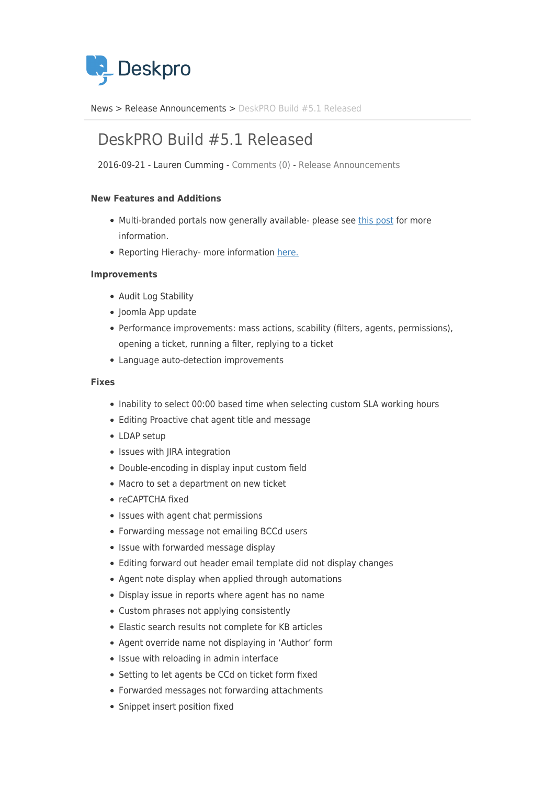

[News](https://support.deskpro.com/ro/news) > [Release Announcements](https://support.deskpro.com/ro/news/release-announcements) > [DeskPRO Build #5.1 Released](https://support.deskpro.com/ro/news/posts/deskpro-build-5-1-released)

## DeskPRO Build #5.1 Released

2016-09-21 - Lauren Cumming - [Comments \(0\)](#page--1-0) - [Release Announcements](https://support.deskpro.com/ro/news/release-announcements)

## **New Features and Additions**

- Multi-branded portals now generally available- please see [this post](https://support.deskpro.com/news/posts/601) for more information.
- Reporting Hierachy- more information [here.](https://support.deskpro.com/news/posts/633)

## **Improvements**

- Audit Log Stability
- Joomla App update
- Performance improvements: mass actions, scability (filters, agents, permissions), opening a ticket, running a filter, replying to a ticket
- Language auto-detection improvements

## **Fixes**

- Inability to select 00:00 based time when selecting custom SLA working hours
- Editing Proactive chat agent title and message
- LDAP setup
- Issues with JIRA integration
- Double-encoding in display input custom field
- Macro to set a department on new ticket
- reCAPTCHA fixed
- Issues with agent chat permissions
- Forwarding message not emailing BCCd users
- Issue with forwarded message display
- Editing forward out header email template did not display changes
- Agent note display when applied through automations
- Display issue in reports where agent has no name
- Custom phrases not applying consistently
- Elastic search results not complete for KB articles
- Agent override name not displaying in 'Author' form
- Issue with reloading in admin interface
- Setting to let agents be CCd on ticket form fixed
- Forwarded messages not forwarding attachments
- Snippet insert position fixed